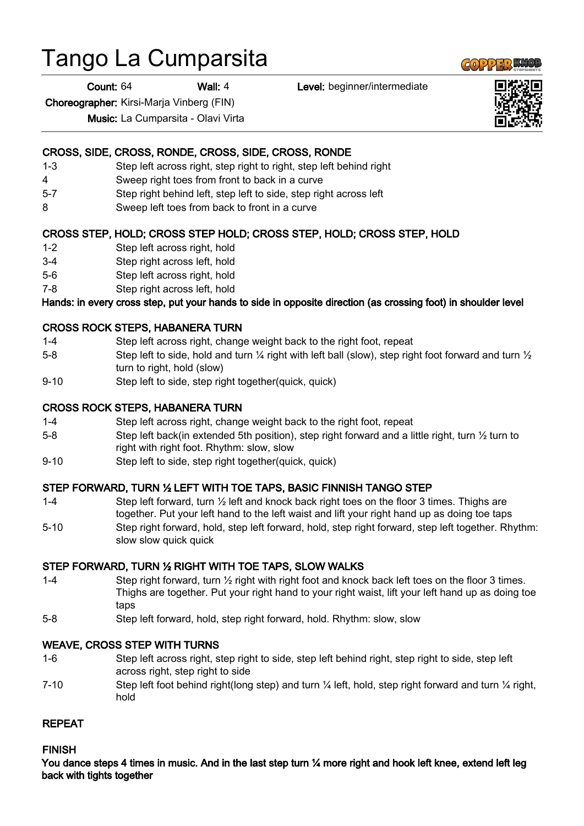# Tango La Cumparsita

Count: 64 Wall: 4 Level: beginner/intermediate

Choreographer: Kirsi-Marja Vinberg (FIN)

Music: La Cumparsita - Olavi Virta

## CROSS, SIDE, CROSS, RONDE, CROSS, SIDE, CROSS, RONDE

- 1-3 Step left across right, step right to right, step left behind right
- 4 Sweep right toes from front to back in a curve
- 5-7 Step right behind left, step left to side, step right across left
- 8 Sweep left toes from back to front in a curve

## CROSS STEP, HOLD; CROSS STEP HOLD; CROSS STEP, HOLD; CROSS STEP, HOLD

- 1-2 Step left across right, hold
- 3-4 Step right across left, hold
- 5-6 Step left across right, hold
- 7-8 Step right across left, hold

## Hands: in every cross step, put your hands to side in opposite direction (as crossing foot) in shoulder level

#### CROSS ROCK STEPS, HABANERA TURN

- 1-4 Step left across right, change weight back to the right foot, repeat
- 5-8 Step left to side, hold and turn  $\frac{1}{4}$  right with left ball (slow), step right foot forward and turn  $\frac{1}{2}$ turn to right, hold (slow)
- 9-10 Step left to side, step right together(quick, quick)

### CROSS ROCK STEPS, HABANERA TURN

- 1-4 Step left across right, change weight back to the right foot, repeat
- 5-8 Step left back(in extended 5th position), step right forward and a little right, turn 1/2 turn to right with right foot. Rhythm: slow, slow
- 9-10 Step left to side, step right together(quick, quick)

## STEP FORWARD, TURN ½ LEFT WITH TOE TAPS, BASIC FINNISH TANGO STEP

- 1-4 Step left forward, turn  $\frac{1}{2}$  left and knock back right toes on the floor 3 times. Thighs are together. Put your left hand to the left waist and lift your right hand up as doing toe taps
- 5-10 Step right forward, hold, step left forward, hold, step right forward, step left together. Rhythm: slow slow quick quick

#### STEP FORWARD, TURN ½ RIGHT WITH TOE TAPS, SLOW WALKS

- 1-4 Step right forward, turn ½ right with right foot and knock back left toes on the floor 3 times. Thighs are together. Put your right hand to your right waist, lift your left hand up as doing toe taps
- 5-8 Step left forward, hold, step right forward, hold. Rhythm: slow, slow

#### WEAVE, CROSS STEP WITH TURNS

- 1-6 Step left across right, step right to side, step left behind right, step right to side, step left across right, step right to side
- 7-10 Step left foot behind right(long step) and turn  $\frac{1}{4}$  left, hold, step right forward and turn  $\frac{1}{4}$  right, hold

#### REPEAT

#### FINISH

You dance steps 4 times in music. And in the last step turn 1/4 more right and hook left knee, extend left leg back with tights together